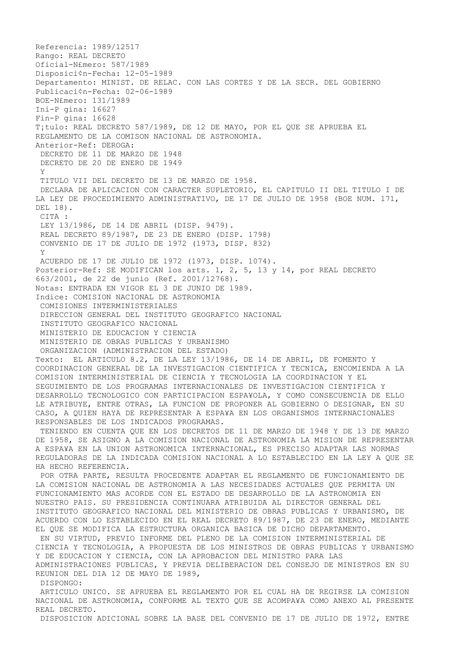Referencia: 1989/12517 Rango: REAL DECRETO Oficial-N£mero: 587/1989 Disposici¢n-Fecha: 12-05-1989 Departamento: MINIST. DE RELAC. CON LAS CORTES Y DE LA SECR. DEL GOBIERNO Publicaci¢n-Fecha: 02-06-1989 BOE-N£mero: 131/1989 Ini-P gina: 16627 Fin-P gina: 16628 T¡tulo: REAL DECRETO 587/1989, DE 12 DE MAYO, POR EL QUE SE APRUEBA EL REGLAMENTO DE LA COMISON NACIONAL DE ASTRONOMIA. Anterior-Ref: DEROGA: DECRETO DE 11 DE MARZO DE 1948 DECRETO DE 20 DE ENERO DE 1949 Y TITULO VII DEL DECRETO DE 13 DE MARZO DE 1958. DECLARA DE APLICACION CON CARACTER SUPLETORIO, EL CAPITULO II DEL TITULO I DE LA LEY DE PROCEDIMIENTO ADMINISTRATIVO, DE 17 DE JULIO DE 1958 (BOE NUM. 171, DEL 18). CITA : LEY 13/1986, DE 14 DE ABRIL (DISP. 9479). REAL DECRETO 89/1987, DE 23 DE ENERO (DISP. 1798) CONVENIO DE 17 DE JULIO DE 1972 (1973, DISP. 832) Y ACUERDO DE 17 DE JULIO DE 1972 (1973, DISP. 1074). Posterior-Ref: SE MODIFICAN los arts. 1, 2, 5, 13 y 14, por REAL DECRETO 663/2001, de 22 de junio (Ref. 2001/12768). Notas: ENTRADA EN VIGOR EL 3 DE JUNIO DE 1989. Indice: COMISION NACIONAL DE ASTRONOMIA COMISIONES INTERMINISTERIALES DIRECCION GENERAL DEL INSTITUTO GEOGRAFICO NACIONAL INSTITUTO GEOGRAFICO NACIONAL MINISTERIO DE EDUCACION Y CIENCIA MINISTERIO DE OBRAS PUBLICAS Y URBANISMO ORGANIZACION (ADMINISTRACION DEL ESTADO) Texto: EL ARTICULO 8.2, DE LA LEY 13/1986, DE 14 DE ABRIL, DE FOMENTO Y COORDINACION GENERAL DE LA INVESTIGACION CIENTIFICA Y TECNICA, ENCOMIENDA A LA COMISION INTERMINISTERIAL DE CIENCIA Y TECNOLOGIA LA COORDINACION Y EL SEGUIMIENTO DE LOS PROGRAMAS INTERNACIONALES DE INVESTIGACION CIENTIFICA Y DESARROLLO TECNOLOGICO CON PARTICIPACION ESPA¥OLA, Y COMO CONSECUENCIA DE ELLO LE ATRIBUYE, ENTRE OTRAS, LA FUNCION DE PROPONER AL GOBIERNO O DESIGNAR, EN SU CASO, A QUIEN HAYA DE REPRESENTAR A ESPA¥A EN LOS ORGANISMOS INTERNACIONALES RESPONSABLES DE LOS INDICADOS PROGRAMAS. TENIENDO EN CUENTA QUE EN LOS DECRETOS DE 11 DE MARZO DE 1948 Y DE 13 DE MARZO DE 1958, SE ASIGNO A LA COMISION NACIONAL DE ASTRONOMIA LA MISION DE REPRESENTAR A ESPA¥A EN LA UNION ASTRONOMICA INTERNACIONAL, ES PRECISO ADAPTAR LAS NORMAS REGULADORAS DE LA INDICADA COMISION NACIONAL A LO ESTABLECIDO EN LA LEY A QUE SE HA HECHO REFERENCIA. POR OTRA PARTE, RESULTA PROCEDENTE ADAPTAR EL REGLAMENTO DE FUNCIONAMIENTO DE LA COMISION NACIONAL DE ASTRONOMIA A LAS NECESIDADES ACTUALES QUE PERMITA UN FUNCIONAMIENTO MAS ACORDE CON EL ESTADO DE DESARROLLO DE LA ASTRONOMIA EN NUESTRO PAIS. SU PRESIDENCIA CONTINUARA ATRIBUIDA AL DIRECTOR GENERAL DEL INSTITUTO GEOGRAFICO NACIONAL DEL MINISTERIO DE OBRAS PUBLICAS Y URBANISMO, DE ACUERDO CON LO ESTABLECIDO EN EL REAL DECRETO 89/1987, DE 23 DE ENERO, MEDIANTE EL QUE SE MODIFICA LA ESTRUCTURA ORGANICA BASICA DE DICHO DEPARTAMENTO. EN SU VIRTUD, PREVIO INFORME DEL PLENO DE LA COMISION INTERMINISTERIAL DE CIENCIA Y TECNOLOGIA, A PROPUESTA DE LOS MINISTROS DE OBRAS PUBLICAS Y URBANISMO Y DE EDUCACION Y CIENCIA, CON LA APROBACION DEL MINISTRO PARA LAS ADMINISTRACIONES PUBLICAS, Y PREVIA DELIBERACION DEL CONSEJO DE MINISTROS EN SU REUNION DEL DIA 12 DE MAYO DE 1989, DISPONGO: ARTICULO UNICO. SE APRUEBA EL REGLAMENTO POR EL CUAL HA DE REGIRSE LA COMISION NACIONAL DE ASTRONOMIA, CONFORME AL TEXTO QUE SE ACOMPA¥A COMO ANEXO AL PRESENTE REAL DECRETO.

DISPOSICION ADICIONAL SOBRE LA BASE DEL CONVENIO DE 17 DE JULIO DE 1972, ENTRE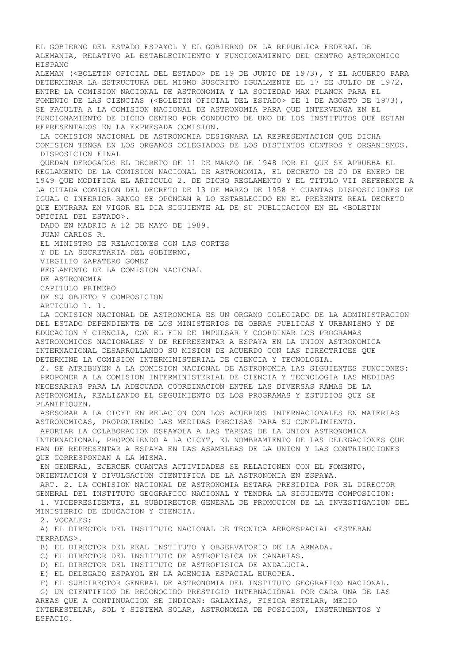EL GOBIERNO DEL ESTADO ESPA¥OL Y EL GOBIERNO DE LA REPUBLICA FEDERAL DE ALEMANIA, RELATIVO AL ESTABLECIMIENTO Y FUNCIONAMIENTO DEL CENTRO ASTRONOMICO HISPANO ALEMAN (<BOLETIN OFICIAL DEL ESTADO> DE 19 DE JUNIO DE 1973), Y EL ACUERDO PARA DETERMINAR LA ESTRUCTURA DEL MISMO SUSCRITO IGUALMENTE EL 17 DE JULIO DE 1972, ENTRE LA COMISION NACIONAL DE ASTRONOMIA Y LA SOCIEDAD MAX PLANCK PARA EL FOMENTO DE LAS CIENCIAS (<BOLETIN OFICIAL DEL ESTADO> DE 1 DE AGOSTO DE 1973), SE FACULTA A LA COMISION NACIONAL DE ASTRONOMIA PARA QUE INTERVENGA EN EL FUNCIONAMIENTO DE DICHO CENTRO POR CONDUCTO DE UNO DE LOS INSTITUTOS QUE ESTAN REPRESENTADOS EN LA EXPRESADA COMISION. LA COMISION NACIONAL DE ASTRONOMIA DESIGNARA LA REPRESENTACION QUE DICHA COMISION TENGA EN LOS ORGANOS COLEGIADOS DE LOS DISTINTOS CENTROS Y ORGANISMOS. DISPOSICION FINAL QUEDAN DEROGADOS EL DECRETO DE 11 DE MARZO DE 1948 POR EL QUE SE APRUEBA EL REGLAMENTO DE LA COMISION NACIONAL DE ASTRONOMIA, EL DECRETO DE 20 DE ENERO DE 1949 QUE MODIFICA EL ARTICULO 2. DE DICHO REGLAMENTO Y EL TITULO VII REFERENTE A LA CITADA COMISION DEL DECRETO DE 13 DE MARZO DE 1958 Y CUANTAS DISPOSICIONES DE IGUAL O INFERIOR RANGO SE OPONGAN A LO ESTABLECIDO EN EL PRESENTE REAL DECRETO QUE ENTRARA EN VIGOR EL DIA SIGUIENTE AL DE SU PUBLICACION EN EL <BOLETIN OFICIAL DEL ESTADO>. DADO EN MADRID A 12 DE MAYO DE 1989. JUAN CARLOS R. EL MINISTRO DE RELACIONES CON LAS CORTES Y DE LA SECRETARIA DEL GOBIERNO, VIRGILIO ZAPATERO GOMEZ REGLAMENTO DE LA COMISION NACIONAL DE ASTRONOMIA CAPITULO PRIMERO DE SU OBJETO Y COMPOSICION ARTICULO 1. 1. LA COMISION NACIONAL DE ASTRONOMIA ES UN ORGANO COLEGIADO DE LA ADMINISTRACION DEL ESTADO DEPENDIENTE DE LOS MINISTERIOS DE OBRAS PUBLICAS Y URBANISMO Y DE EDUCACION Y CIENCIA, CON EL FIN DE IMPULSAR Y COORDINAR LOS PROGRAMAS ASTRONOMICOS NACIONALES Y DE REPRESENTAR A ESPA¥A EN LA UNION ASTRONOMICA INTERNACIONAL DESARROLLANDO SU MISION DE ACUERDO CON LAS DIRECTRICES QUE DETERMINE LA COMISION INTERMINISTERIAL DE CIENCIA Y TECNOLOGIA. 2. SE ATRIBUYEN A LA COMISION NACIONAL DE ASTRONOMIA LAS SIGUIENTES FUNCIONES: PROPONER A LA COMISION INTERMINISTERIAL DE CIENCIA Y TECNOLOGIA LAS MEDIDAS NECESARIAS PARA LA ADECUADA COORDINACION ENTRE LAS DIVERSAS RAMAS DE LA ASTRONOMIA, REALIZANDO EL SEGUIMIENTO DE LOS PROGRAMAS Y ESTUDIOS QUE SE PLANIFIQUEN. ASESORAR A LA CICYT EN RELACION CON LOS ACUERDOS INTERNACIONALES EN MATERIAS ASTRONOMICAS, PROPONIENDO LAS MEDIDAS PRECISAS PARA SU CUMPLIMIENTO. APORTAR LA COLABORACION ESPA¥OLA A LAS TAREAS DE LA UNION ASTRONOMICA INTERNACIONAL, PROPONIENDO A LA CICYT, EL NOMBRAMIENTO DE LAS DELEGACIONES QUE HAN DE REPRESENTAR A ESPA¥A EN LAS ASAMBLEAS DE LA UNION Y LAS CONTRIBUCIONES QUE CORRESPONDAN A LA MISMA. EN GENERAL, EJERCER CUANTAS ACTIVIDADES SE RELACIONEN CON EL FOMENTO, ORIENTACION Y DIVULGACION CIENTIFICA DE LA ASTRONOMIA EN ESPA¥A. ART. 2. LA COMISION NACIONAL DE ASTRONOMIA ESTARA PRESIDIDA POR EL DIRECTOR GENERAL DEL INSTITUTO GEOGRAFICO NACIONAL Y TENDRA LA SIGUIENTE COMPOSICION: 1. VICEPRESIDENTE, EL SUBDIRECTOR GENERAL DE PROMOCION DE LA INVESTIGACION DEL MINISTERIO DE EDUCACION Y CIENCIA. 2. VOCALES: A) EL DIRECTOR DEL INSTITUTO NACIONAL DE TECNICA AEROESPACIAL <ESTEBAN TERRADAS>. B) EL DIRECTOR DEL REAL INSTITUTO Y OBSERVATORIO DE LA ARMADA. C) EL DIRECTOR DEL INSTITUTO DE ASTROFISICA DE CANARIAS. D) EL DIRECTOR DEL INSTITUTO DE ASTROFISICA DE ANDALUCIA. E) EL DELEGADO ESPA¥OL EN LA AGENCIA ESPACIAL EUROPEA. F) EL SUBDIRECTOR GENERAL DE ASTRONOMIA DEL INSTITUTO GEOGRAFICO NACIONAL. G) UN CIENTIFICO DE RECONOCIDO PRESTIGIO INTERNACIONAL POR CADA UNA DE LAS AREAS QUE A CONTINUACION SE INDICAN: GALAXIAS, FISICA ESTELAR, MEDIO INTERESTELAR, SOL Y SISTEMA SOLAR, ASTRONOMIA DE POSICION, INSTRUMENTOS Y

ESPACIO.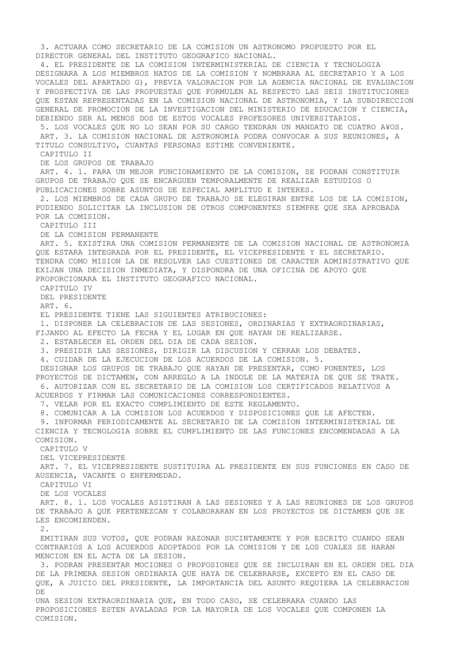3. ACTUARA COMO SECRETARIO DE LA COMISION UN ASTRONOMO PROPUESTO POR EL DIRECTOR GENERAL DEL INSTITUTO GEOGRAFICO NACIONAL. 4. EL PRESIDENTE DE LA COMISION INTERMINISTERIAL DE CIENCIA Y TECNOLOGIA DESIGNARA A LOS MIEMBROS NATOS DE LA COMISION Y NOMBRARA AL SECRETARIO Y A LOS VOCALES DEL APARTADO G), PREVIA VALORACION POR LA AGENCIA NACIONAL DE EVALUACION Y PROSPECTIVA DE LAS PROPUESTAS QUE FORMULEN AL RESPECTO LAS SEIS INSTITUCIONES QUE ESTAN REPRESENTADAS EN LA COMISION NACIONAL DE ASTRONOMIA, Y LA SUBDIRECCION GENERAL DE PROMOCION DE LA INVESTIGACION DEL MINISTERIO DE EDUCACION Y CIENCIA, DEBIENDO SER AL MENOS DOS DE ESTOS VOCALES PROFESORES UNIVERSITARIOS. 5. LOS VOCALES QUE NO LO SEAN POR SU CARGO TENDRAN UN MANDATO DE CUATRO A¥OS. ART. 3. LA COMISION NACIONAL DE ASTRONOMIA PODRA CONVOCAR A SUS REUNIONES, A TITULO CONSULTIVO, CUANTAS PERSONAS ESTIME CONVENIENTE. CAPITULO II DE LOS GRUPOS DE TRABAJO ART. 4. 1. PARA UN MEJOR FUNCIONAMIENTO DE LA COMISION, SE PODRAN CONSTITUIR GRUPOS DE TRABAJO QUE SE ENCARGUEN TEMPORALMENTE DE REALIZAR ESTUDIOS O PUBLICACIONES SOBRE ASUNTOS DE ESPECIAL AMPLITUD E INTERES. 2. LOS MIEMBROS DE CADA GRUPO DE TRABAJO SE ELEGIRAN ENTRE LOS DE LA COMISION, PUDIENDO SOLICITAR LA INCLUSION DE OTROS COMPONENTES SIEMPRE QUE SEA APROBADA POR LA COMISION. CAPITULO III DE LA COMISION PERMANENTE ART. 5. EXISTIRA UNA COMISION PERMANENTE DE LA COMISION NACIONAL DE ASTRONOMIA QUE ESTARA INTEGRADA POR EL PRESIDENTE, EL VICEPRESIDENTE Y EL SECRETARIO. TENDRA COMO MISION LA DE RESOLVER LAS CUESTIONES DE CARACTER ADMINISTRATIVO QUE EXIJAN UNA DECISION INMEDIATA, Y DISPONDRA DE UNA OFICINA DE APOYO QUE PROPORCIONARA EL INSTITUTO GEOGRAFICO NACIONAL. CAPITULO IV DEL PRESIDENTE ART. 6. EL PRESIDENTE TIENE LAS SIGUIENTES ATRIBUCIONES: 1. DISPONER LA CELEBRACION DE LAS SESIONES, ORDINARIAS Y EXTRAORDINARIAS, FIJANDO AL EFECTO LA FECHA Y EL LUGAR EN QUE HAYAN DE REALIZARSE. 2. ESTABLECER EL ORDEN DEL DIA DE CADA SESION. 3. PRESIDIR LAS SESIONES, DIRIGIR LA DISCUSION Y CERRAR LOS DEBATES. 4. CUIDAR DE LA EJECUCION DE LOS ACUERDOS DE LA COMISION. 5. DESIGNAR LOS GRUPOS DE TRABAJO QUE HAYAN DE PRESENTAR, COMO PONENTES, LOS PROYECTOS DE DICTAMEN, CON ARREGLO A LA INDOLE DE LA MATERIA DE QUE SE TRATE. 6. AUTORIZAR CON EL SECRETARIO DE LA COMISION LOS CERTIFICADOS RELATIVOS A ACUERDOS Y FIRMAR LAS COMUNICACIONES CORRESPONDIENTES. 7. VELAR POR EL EXACTO CUMPLIMIENTO DE ESTE REGLAMENTO. 8. COMUNICAR A LA COMISION LOS ACUERDOS Y DISPOSICIONES QUE LE AFECTEN. 9. INFORMAR PERIODICAMENTE AL SECRETARIO DE LA COMISION INTERMINISTERIAL DE CIENCIA Y TECNOLOGIA SOBRE EL CUMPLIMIENTO DE LAS FUNCIONES ENCOMENDADAS A LA COMISION. CAPITULO V DEL VICEPRESIDENTE ART. 7. EL VICEPRESIDENTE SUSTITUIRA AL PRESIDENTE EN SUS FUNCIONES EN CASO DE AUSENCIA, VACANTE O ENFERMEDAD. CAPITULO VI DE LOS VOCALES ART. 8. 1. LOS VOCALES ASISTIRAN A LAS SESIONES Y A LAS REUNIONES DE LOS GRUPOS DE TRABAJO A QUE PERTENEZCAN Y COLABORARAN EN LOS PROYECTOS DE DICTAMEN QUE SE LES ENCOMIENDEN. 2. EMITIRAN SUS VOTOS, QUE PODRAN RAZONAR SUCINTAMENTE Y POR ESCRITO CUANDO SEAN CONTRARIOS A LOS ACUERDOS ADOPTADOS POR LA COMISION Y DE LOS CUALES SE HARAN MENCION EN EL ACTA DE LA SESION. 3. PODRAN PRESENTAR MOCIONES O PROPOSIONES QUE SE INCLUIRAN EN EL ORDEN DEL DIA DE LA PRIMERA SESION ORDINARIA QUE HAYA DE CELEBRARSE, EXCEPTO EN EL CASO DE QUE, A JUICIO DEL PRESIDENTE, LA IMPORTANCIA DEL ASUNTO REQUIERA LA CELEBRACION DE. UNA SESION EXTRAORDINARIA QUE, EN TODO CASO, SE CELEBRARA CUANDO LAS PROPOSICIONES ESTEN AVALADAS POR LA MAYORIA DE LOS VOCALES QUE COMPONEN LA COMISION.